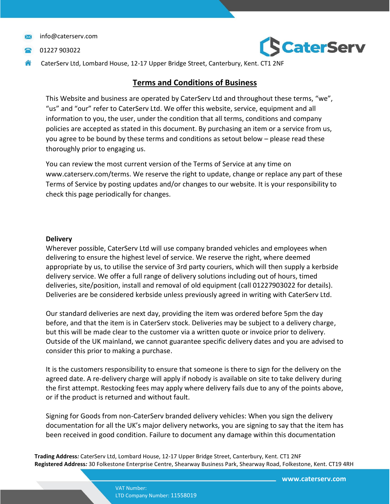01227 903022



# **Terms and Conditions of Business**

This Website and business are operated by CaterServ Ltd and throughout these terms, "we", "us" and "our" refer to CaterServ Ltd. We offer this website, service, equipment and all information to you, the user, under the condition that all terms, conditions and company policies are accepted as stated in this document. By purchasing an item or a service from us, you agree to be bound by these terms and conditions as setout below – please read these thoroughly prior to engaging us.

You can review the most current version of the Terms of Service at any time on www.caterserv.com/terms. We reserve the right to update, change or replace any part of these Terms of Service by posting updates and/or changes to our website. It is your responsibility to check this page periodically for changes.

#### **Delivery**

Wherever possible, CaterServ Ltd will use company branded vehicles and employees when delivering to ensure the highest level of service. We reserve the right, where deemed appropriate by us, to utilise the service of 3rd party couriers, which will then supply a kerbside delivery service. We offer a full range of delivery solutions including out of hours, timed deliveries, site/position, install and removal of old equipment (call 01227903022 for details). Deliveries are be considered kerbside unless previously agreed in writing with CaterServ Ltd.

Our standard deliveries are next day, providing the item was ordered before 5pm the day before, and that the item is in CaterServ stock. Deliveries may be subject to a delivery charge, but this will be made clear to the customer via a written quote or invoice prior to delivery. Outside of the UK mainland, we cannot guarantee specific delivery dates and you are advised to consider this prior to making a purchase.

It is the customers responsibility to ensure that someone is there to sign for the delivery on the agreed date. A re-delivery charge will apply if nobody is available on site to take delivery during the first attempt. Restocking fees may apply where delivery fails due to any of the points above, or if the product is returned and without fault.

Signing for Goods from non-CaterServ branded delivery vehicles: When you sign the delivery documentation for all the UK's major delivery networks, you are signing to say that the item has been received in good condition. Failure to document any damage within this documentation

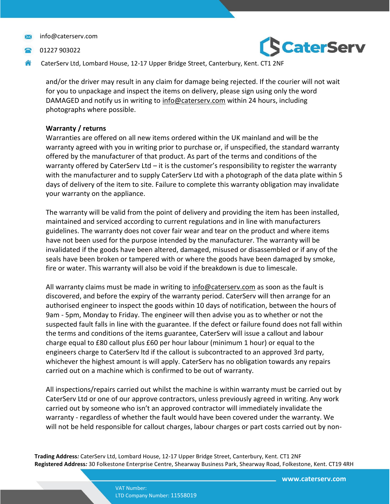01227 903022



CaterServ Ltd, Lombard House, 12-17 Upper Bridge Street, Canterbury, Kent. CT1 2NF

and/or the driver may result in any claim for damage being rejected. If the courier will not wait for you to unpackage and inspect the items on delivery, please sign using only the word DAMAGED and notify us in writing to [info@caterserv.com](mailto:info@caterserv.com) within 24 hours, including photographs where possible.

# **Warranty / returns**

Warranties are offered on all new items ordered within the UK mainland and will be the warranty agreed with you in writing prior to purchase or, if unspecified, the standard warranty offered by the manufacturer of that product. As part of the terms and conditions of the warranty offered by CaterServ Ltd – it is the customer's responsibility to register the warranty with the manufacturer and to supply CaterServ Ltd with a photograph of the data plate within 5 days of delivery of the item to site. Failure to complete this warranty obligation may invalidate your warranty on the appliance.

The warranty will be valid from the point of delivery and providing the item has been installed, maintained and serviced according to current regulations and in line with manufacturers guidelines. The warranty does not cover fair wear and tear on the product and where items have not been used for the purpose intended by the manufacturer. The warranty will be invalidated if the goods have been altered, damaged, misused or disassembled or if any of the seals have been broken or tampered with or where the goods have been damaged by smoke, fire or water. This warranty will also be void if the breakdown is due to limescale.

All warranty claims must be made in writing to [info@caterserv.com](mailto:info@caterserv.com) as soon as the fault is discovered, and before the expiry of the warranty period. CaterServ will then arrange for an authorised engineer to inspect the goods within 10 days of notification, between the hours of 9am - 5pm, Monday to Friday. The engineer will then advise you as to whether or not the suspected fault falls in line with the guarantee. If the defect or failure found does not fall within the terms and conditions of the items guarantee, CaterServ will issue a callout and labour charge equal to £80 callout plus £60 per hour labour (minimum 1 hour) or equal to the engineers charge to CaterServ ltd if the callout is subcontracted to an approved 3rd party, whichever the highest amount is will apply. CaterServ has no obligation towards any repairs carried out on a machine which is confirmed to be out of warranty.

All inspections/repairs carried out whilst the machine is within warranty must be carried out by CaterServ Ltd or one of our approve contractors, unless previously agreed in writing. Any work carried out by someone who isn't an approved contractor will immediately invalidate the warranty - regardless of whether the fault would have been covered under the warranty. We will not be held responsible for callout charges, labour charges or part costs carried out by non-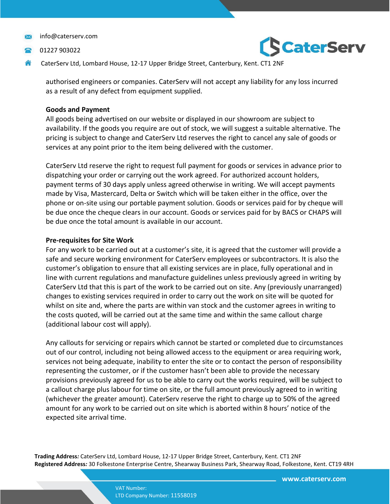01227 903022



CaterServ Ltd, Lombard House, 12-17 Upper Bridge Street, Canterbury, Kent. CT1 2NF

authorised engineers or companies. CaterServ will not accept any liability for any loss incurred as a result of any defect from equipment supplied.

# **Goods and Payment**

All goods being advertised on our website or displayed in our showroom are subject to availability. If the goods you require are out of stock, we will suggest a suitable alternative. The pricing is subject to change and CaterServ Ltd reserves the right to cancel any sale of goods or services at any point prior to the item being delivered with the customer.

CaterServ Ltd reserve the right to request full payment for goods or services in advance prior to dispatching your order or carrying out the work agreed. For authorized account holders, payment terms of 30 days apply unless agreed otherwise in writing. We will accept payments made by Visa, Mastercard, Delta or Switch which will be taken either in the office, over the phone or on-site using our portable payment solution. Goods or services paid for by cheque will be due once the cheque clears in our account. Goods or services paid for by BACS or CHAPS will be due once the total amount is available in our account.

# **Pre-requisites for Site Work**

For any work to be carried out at a customer's site, it is agreed that the customer will provide a safe and secure working environment for CaterServ employees or subcontractors. It is also the customer's obligation to ensure that all existing services are in place, fully operational and in line with current regulations and manufacture guidelines unless previously agreed in writing by CaterServ Ltd that this is part of the work to be carried out on site. Any (previously unarranged) changes to existing services required in order to carry out the work on site will be quoted for whilst on site and, where the parts are within van stock and the customer agrees in writing to the costs quoted, will be carried out at the same time and within the same callout charge (additional labour cost will apply).

Any callouts for servicing or repairs which cannot be started or completed due to circumstances out of our control, including not being allowed access to the equipment or area requiring work, services not being adequate, inability to enter the site or to contact the person of responsibility representing the customer, or if the customer hasn't been able to provide the necessary provisions previously agreed for us to be able to carry out the works required, will be subject to a callout charge plus labour for time on site, or the full amount previously agreed to in writing (whichever the greater amount). CaterServ reserve the right to charge up to 50% of the agreed amount for any work to be carried out on site which is aborted within 8 hours' notice of the expected site arrival time.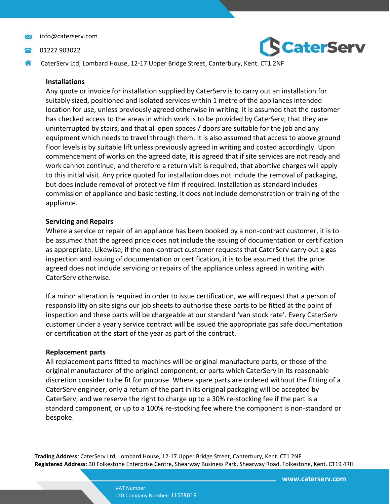- 01227 903022
- CaterServ Ltd, Lombard House, 12-17 Upper Bridge Street, Canterbury, Kent. CT1 2NF

#### **Installations**

Any quote or invoice for installation supplied by CaterServ is to carry out an installation for suitably sized, positioned and isolated services within 1 metre of the appliances intended location for use, unless previously agreed otherwise in writing. It is assumed that the customer has checked access to the areas in which work is to be provided by CaterServ, that they are uninterrupted by stairs, and that all open spaces / doors are suitable for the job and any equipment which needs to travel through them. It is also assumed that access to above ground floor levels is by suitable lift unless previously agreed in writing and costed accordingly. Upon commencement of works on the agreed date, it is agreed that if site services are not ready and work cannot continue, and therefore a return visit is required, that abortive charges will apply to this initial visit. Any price quoted for installation does not include the removal of packaging, but does include removal of protective film if required. Installation as standard includes commission of appliance and basic testing, it does not include demonstration or training of the appliance.

## **Servicing and Repairs**

Where a service or repair of an appliance has been booked by a non-contract customer, it is to be assumed that the agreed price does not include the issuing of documentation or certification as appropriate. Likewise, if the non-contract customer requests that CaterServ carry out a gas inspection and issuing of documentation or certification, it is to be assumed that the price agreed does not include servicing or repairs of the appliance unless agreed in writing with CaterServ otherwise.

If a minor alteration is required in order to issue certification, we will request that a person of responsibility on site signs our job sheets to authorise these parts to be fitted at the point of inspection and these parts will be chargeable at our standard 'van stock rate'. Every CaterServ customer under a yearly service contract will be issued the appropriate gas safe documentation or certification at the start of the year as part of the contract.

#### **Replacement parts**

All replacement parts fitted to machines will be original manufacture parts, or those of the original manufacturer of the original component, or parts which CaterServ in its reasonable discretion consider to be fit for purpose. Where spare parts are ordered without the fitting of a CaterServ engineer, only a return of the part in its original packaging will be accepted by CaterServ, and we reserve the right to charge up to a 30% re-stocking fee if the part is a standard component, or up to a 100% re-stocking fee where the component is non-standard or bespoke.

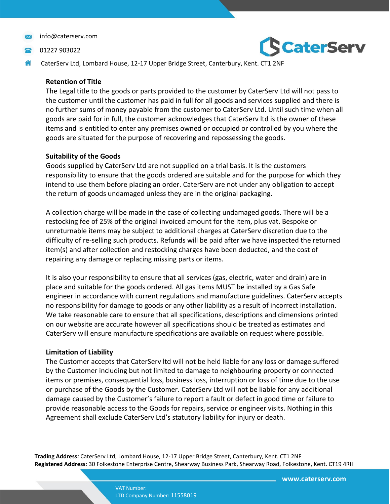- 01227 903022
- CaterServ Ltd, Lombard House, 12-17 Upper Bridge Street, Canterbury, Kent. CT1 2NF

#### **Retention of Title**

The Legal title to the goods or parts provided to the customer by CaterServ Ltd will not pass to the customer until the customer has paid in full for all goods and services supplied and there is no further sums of money payable from the customer to CaterServ Ltd. Until such time when all goods are paid for in full, the customer acknowledges that CaterServ ltd is the owner of these items and is entitled to enter any premises owned or occupied or controlled by you where the goods are situated for the purpose of recovering and repossessing the goods.

## **Suitability of the Goods**

Goods supplied by CaterServ Ltd are not supplied on a trial basis. It is the customers responsibility to ensure that the goods ordered are suitable and for the purpose for which they intend to use them before placing an order. CaterServ are not under any obligation to accept the return of goods undamaged unless they are in the original packaging.

A collection charge will be made in the case of collecting undamaged goods. There will be a restocking fee of 25% of the original invoiced amount for the item, plus vat. Bespoke or unreturnable items may be subject to additional charges at CaterServ discretion due to the difficulty of re-selling such products. Refunds will be paid after we have inspected the returned item(s) and after collection and restocking charges have been deducted, and the cost of repairing any damage or replacing missing parts or items.

It is also your responsibility to ensure that all services (gas, electric, water and drain) are in place and suitable for the goods ordered. All gas items MUST be installed by a Gas Safe engineer in accordance with current regulations and manufacture guidelines. CaterServ accepts no responsibility for damage to goods or any other liability as a result of incorrect installation. We take reasonable care to ensure that all specifications, descriptions and dimensions printed on our website are accurate however all specifications should be treated as estimates and CaterServ will ensure manufacture specifications are available on request where possible.

#### **Limitation of Liability**

The Customer accepts that CaterServ ltd will not be held liable for any loss or damage suffered by the Customer including but not limited to damage to neighbouring property or connected items or premises, consequential loss, business loss, interruption or loss of time due to the use or purchase of the Goods by the Customer. CaterServ Ltd will not be liable for any additional damage caused by the Customer's failure to report a fault or defect in good time or failure to provide reasonable access to the Goods for repairs, service or engineer visits. Nothing in this Agreement shall exclude CaterServ Ltd's statutory liability for injury or death.